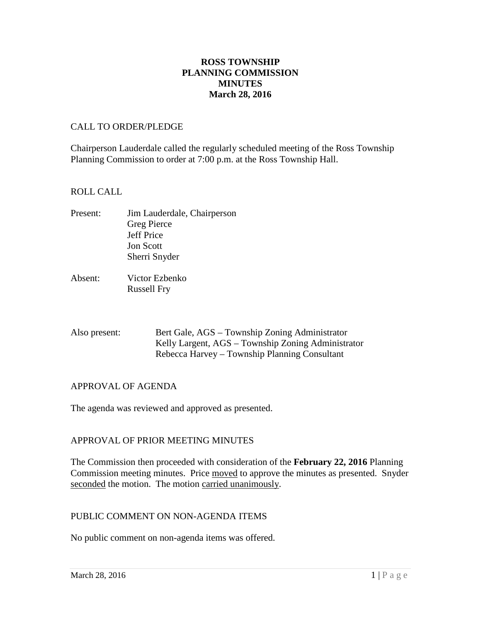## **ROSS TOWNSHIP PLANNING COMMISSION MINUTES March 28, 2016**

#### CALL TO ORDER/PLEDGE

Chairperson Lauderdale called the regularly scheduled meeting of the Ross Township Planning Commission to order at 7:00 p.m. at the Ross Township Hall.

#### ROLL CALL

- Present: Jim Lauderdale, Chairperson Greg Pierce Jeff Price Jon Scott Sherri Snyder
- Absent: Victor Ezbenko Russell Fry

| Also present: | Bert Gale, AGS – Township Zoning Administrator     |
|---------------|----------------------------------------------------|
|               | Kelly Largent, AGS – Township Zoning Administrator |
|               | Rebecca Harvey – Township Planning Consultant      |

## APPROVAL OF AGENDA

The agenda was reviewed and approved as presented.

## APPROVAL OF PRIOR MEETING MINUTES

The Commission then proceeded with consideration of the **February 22, 2016** Planning Commission meeting minutes. Price moved to approve the minutes as presented. Snyder seconded the motion. The motion carried unanimously.

#### PUBLIC COMMENT ON NON-AGENDA ITEMS

No public comment on non-agenda items was offered.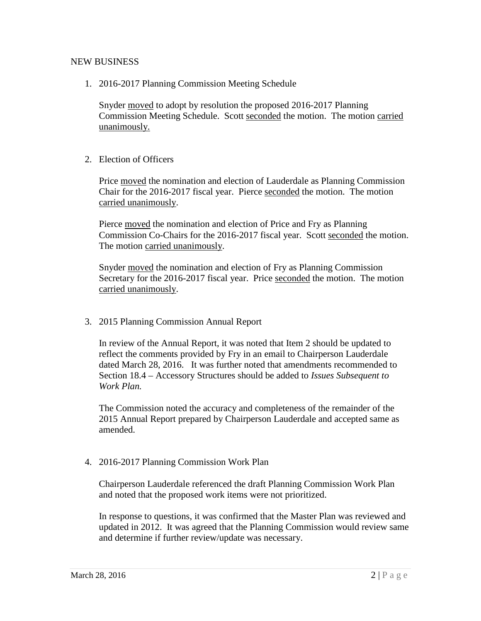#### NEW BUSINESS

1. 2016-2017 Planning Commission Meeting Schedule

Snyder moved to adopt by resolution the proposed 2016-2017 Planning Commission Meeting Schedule. Scott seconded the motion. The motion carried unanimously.

2. Election of Officers

Price moved the nomination and election of Lauderdale as Planning Commission Chair for the 2016-2017 fiscal year. Pierce seconded the motion. The motion carried unanimously.

Pierce moved the nomination and election of Price and Fry as Planning Commission Co-Chairs for the 2016-2017 fiscal year. Scott seconded the motion. The motion carried unanimously.

Snyder moved the nomination and election of Fry as Planning Commission Secretary for the 2016-2017 fiscal year. Price seconded the motion. The motion carried unanimously.

3. 2015 Planning Commission Annual Report

In review of the Annual Report, it was noted that Item 2 should be updated to reflect the comments provided by Fry in an email to Chairperson Lauderdale dated March 28, 2016. It was further noted that amendments recommended to Section 18.4 – Accessory Structures should be added to *Issues Subsequent to Work Plan.*

The Commission noted the accuracy and completeness of the remainder of the 2015 Annual Report prepared by Chairperson Lauderdale and accepted same as amended.

4. 2016-2017 Planning Commission Work Plan

Chairperson Lauderdale referenced the draft Planning Commission Work Plan and noted that the proposed work items were not prioritized.

In response to questions, it was confirmed that the Master Plan was reviewed and updated in 2012. It was agreed that the Planning Commission would review same and determine if further review/update was necessary.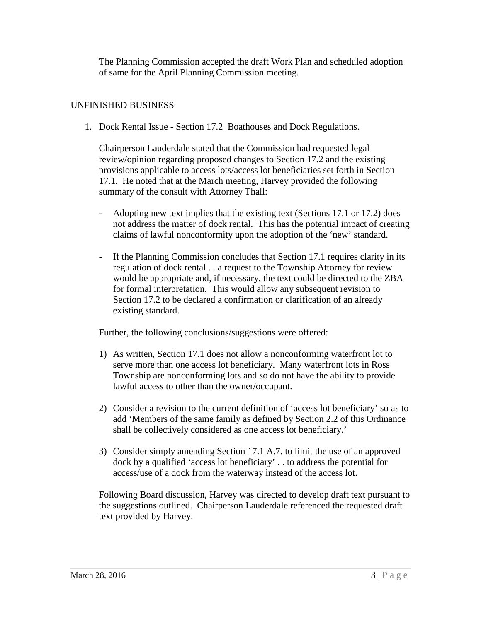The Planning Commission accepted the draft Work Plan and scheduled adoption of same for the April Planning Commission meeting.

## UNFINISHED BUSINESS

1. Dock Rental Issue - Section 17.2 Boathouses and Dock Regulations.

Chairperson Lauderdale stated that the Commission had requested legal review/opinion regarding proposed changes to Section 17.2 and the existing provisions applicable to access lots/access lot beneficiaries set forth in Section 17.1. He noted that at the March meeting, Harvey provided the following summary of the consult with Attorney Thall:

- Adopting new text implies that the existing text (Sections 17.1 or 17.2) does not address the matter of dock rental. This has the potential impact of creating claims of lawful nonconformity upon the adoption of the 'new' standard.
- If the Planning Commission concludes that Section 17.1 requires clarity in its regulation of dock rental . . a request to the Township Attorney for review would be appropriate and, if necessary, the text could be directed to the ZBA for formal interpretation. This would allow any subsequent revision to Section 17.2 to be declared a confirmation or clarification of an already existing standard.

Further, the following conclusions/suggestions were offered:

- 1) As written, Section 17.1 does not allow a nonconforming waterfront lot to serve more than one access lot beneficiary. Many waterfront lots in Ross Township are nonconforming lots and so do not have the ability to provide lawful access to other than the owner/occupant.
- 2) Consider a revision to the current definition of 'access lot beneficiary' so as to add 'Members of the same family as defined by Section 2.2 of this Ordinance shall be collectively considered as one access lot beneficiary.'
- 3) Consider simply amending Section 17.1 A.7. to limit the use of an approved dock by a qualified 'access lot beneficiary' . . to address the potential for access/use of a dock from the waterway instead of the access lot.

Following Board discussion, Harvey was directed to develop draft text pursuant to the suggestions outlined. Chairperson Lauderdale referenced the requested draft text provided by Harvey.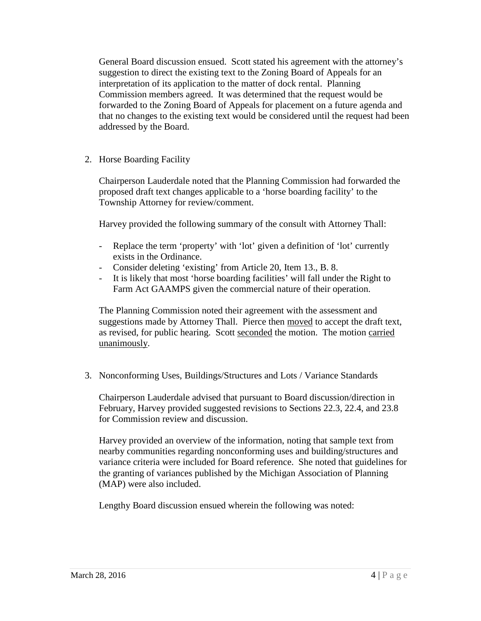General Board discussion ensued. Scott stated his agreement with the attorney's suggestion to direct the existing text to the Zoning Board of Appeals for an interpretation of its application to the matter of dock rental. Planning Commission members agreed. It was determined that the request would be forwarded to the Zoning Board of Appeals for placement on a future agenda and that no changes to the existing text would be considered until the request had been addressed by the Board.

2. Horse Boarding Facility

Chairperson Lauderdale noted that the Planning Commission had forwarded the proposed draft text changes applicable to a 'horse boarding facility' to the Township Attorney for review/comment.

Harvey provided the following summary of the consult with Attorney Thall:

- Replace the term 'property' with 'lot' given a definition of 'lot' currently exists in the Ordinance.
- Consider deleting 'existing' from Article 20, Item 13., B. 8.
- It is likely that most 'horse boarding facilities' will fall under the Right to Farm Act GAAMPS given the commercial nature of their operation.

The Planning Commission noted their agreement with the assessment and suggestions made by Attorney Thall. Pierce then moved to accept the draft text, as revised, for public hearing. Scott seconded the motion. The motion carried unanimously.

3. Nonconforming Uses, Buildings/Structures and Lots / Variance Standards

Chairperson Lauderdale advised that pursuant to Board discussion/direction in February, Harvey provided suggested revisions to Sections 22.3, 22.4, and 23.8 for Commission review and discussion.

Harvey provided an overview of the information, noting that sample text from nearby communities regarding nonconforming uses and building/structures and variance criteria were included for Board reference. She noted that guidelines for the granting of variances published by the Michigan Association of Planning (MAP) were also included.

Lengthy Board discussion ensued wherein the following was noted: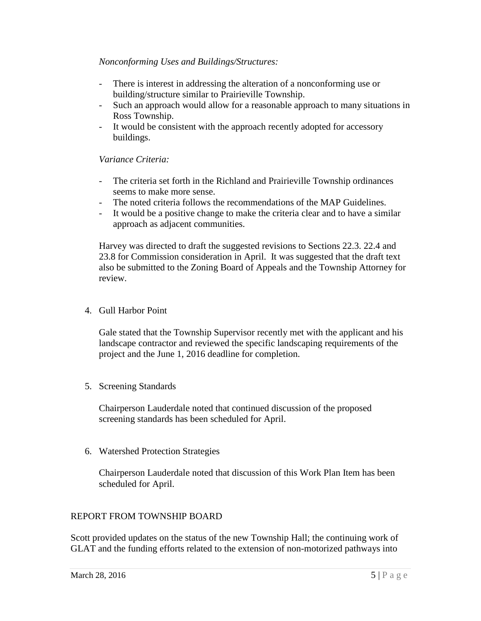## *Nonconforming Uses and Buildings/Structures:*

- There is interest in addressing the alteration of a nonconforming use or building/structure similar to Prairieville Township.
- Such an approach would allow for a reasonable approach to many situations in Ross Township.
- It would be consistent with the approach recently adopted for accessory buildings.

## *Variance Criteria:*

- The criteria set forth in the Richland and Prairieville Township ordinances seems to make more sense.
- The noted criteria follows the recommendations of the MAP Guidelines.
- It would be a positive change to make the criteria clear and to have a similar approach as adjacent communities.

Harvey was directed to draft the suggested revisions to Sections 22.3. 22.4 and 23.8 for Commission consideration in April. It was suggested that the draft text also be submitted to the Zoning Board of Appeals and the Township Attorney for review.

4. Gull Harbor Point

Gale stated that the Township Supervisor recently met with the applicant and his landscape contractor and reviewed the specific landscaping requirements of the project and the June 1, 2016 deadline for completion.

5. Screening Standards

Chairperson Lauderdale noted that continued discussion of the proposed screening standards has been scheduled for April.

6. Watershed Protection Strategies

Chairperson Lauderdale noted that discussion of this Work Plan Item has been scheduled for April.

## REPORT FROM TOWNSHIP BOARD

Scott provided updates on the status of the new Township Hall; the continuing work of GLAT and the funding efforts related to the extension of non-motorized pathways into